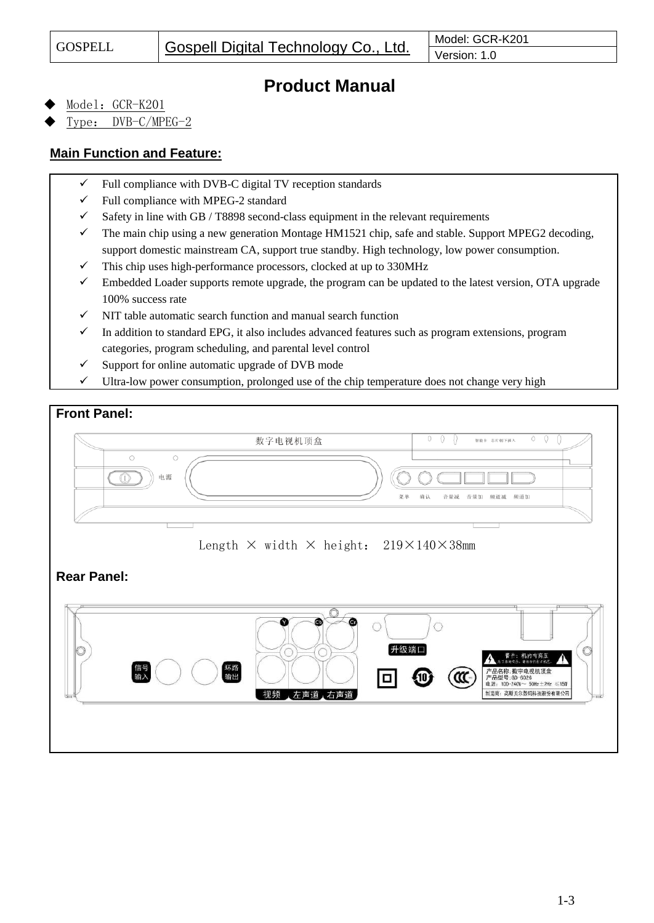# **Product Manual**

Model: GCR-K201

Type: DVB-C/MPEG-2

### **Main Function and Feature:**

- $\checkmark$  Full compliance with DVB-C digital TV reception standards
- $\checkmark$  Full compliance with MPEG-2 standard
- $\checkmark$  Safety in line with GB / T8898 second-class equipment in the relevant requirements
- ✓ The main chip using a new generation Montage HM1521 chip, safe and stable. Support MPEG2 decoding, support domestic mainstream CA, support true standby. High technology, low power consumption.
- $\checkmark$  This chip uses high-performance processors, clocked at up to 330MHz
- $\checkmark$  Embedded Loader supports remote upgrade, the program can be updated to the latest version, OTA upgrade 100% success rate
- $\checkmark$  NIT table automatic search function and manual search function
- ✓ In addition to standard EPG, it also includes advanced features such as program extensions, program categories, program scheduling, and parental level control
- $\checkmark$  Support for online automatic upgrade of DVB mode
- ✓ Ultra-low power consumption, prolonged use of the chip temperature does not change very high

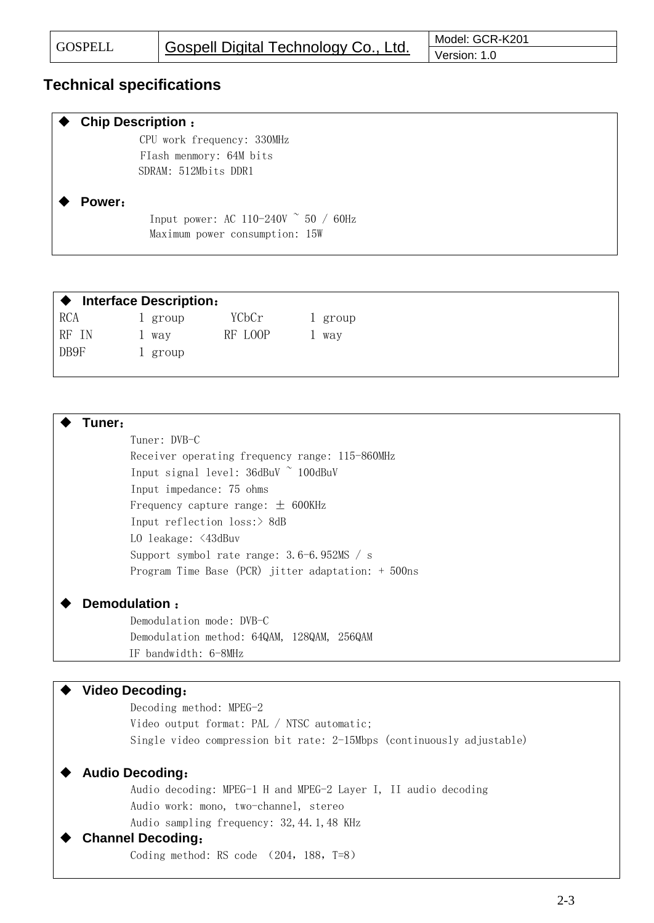## **Technical specifications**

| <b>Chip Description:</b>                     |  |  |  |  |
|----------------------------------------------|--|--|--|--|
| CPU work frequency: 330MHz                   |  |  |  |  |
| Flash menmory: 64M bits                      |  |  |  |  |
| SDRAM: 512Mbits DDR1                         |  |  |  |  |
|                                              |  |  |  |  |
| Power:                                       |  |  |  |  |
| Input power: AC 110-240V $\degree$ 50 / 60Hz |  |  |  |  |
| Maximum power consumption: 15W               |  |  |  |  |
|                                              |  |  |  |  |

| <b>Interface Description:</b> |         |         |         |  |  |
|-------------------------------|---------|---------|---------|--|--|
| <b>RCA</b>                    | l group | YCbCr   | 1 group |  |  |
| RF IN                         | 1 Way   | RF LOOP | way     |  |  |
| DB9F                          | l group |         |         |  |  |
|                               |         |         |         |  |  |

| Tuner: |                                                      |
|--------|------------------------------------------------------|
|        | Tuner: DVB-C                                         |
|        | Receiver operating frequency range: 115-860MHz       |
|        | Input signal level: 36dBuV ~ 100dBuV                 |
|        | Input impedance: 75 ohms                             |
|        | Frequency capture range: $\pm$ 600KHz                |
|        | Input reflection $loss$ :> 8dB                       |
|        | LO leakage: <43dBuv                                  |
|        | Support symbol rate range: $3.6-6.952MS / s$         |
|        | Program Time Base (PCR) jitter adaptation: $+500$ ns |
|        |                                                      |

#### **Demodulation** :

Demodulation mode: DVB-C Demodulation method: 64QAM, 128QAM, 256QAM IF bandwidth: 6-8MHz

#### **Video Decoding**:

Decoding method: MPEG-2 Video output format: PAL / NTSC automatic; Single video compression bit rate: 2-15Mbps (continuously adjustable)

#### **Audio Decoding**:

Audio decoding: MPEG-1 H and MPEG-2 Layer I, II audio decoding Audio work: mono, two-channel, stereo Audio sampling frequency: 32,44.1,48 KHz

#### **Channel Decoding**:

Coding method: RS code (204, 188, T=8)